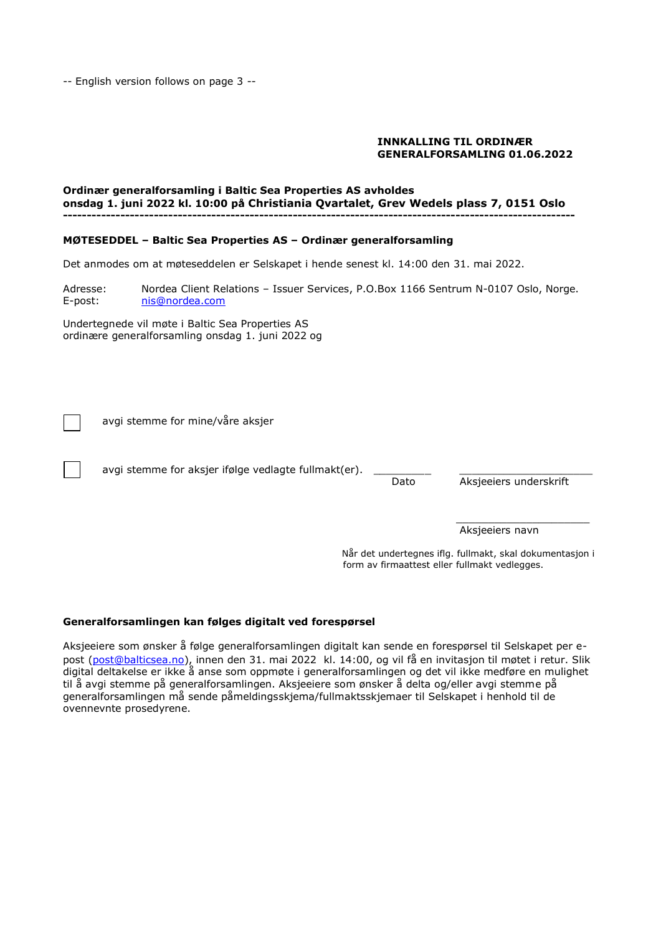-- English version follows on page 3 --

## **INNKALLING TIL ORDINÆR GENERALFORSAMLING 01.06.2022**

#### **Ordinær generalforsamling i Baltic Sea Properties AS avholdes onsdag 1. juni 2022 kl. 10:00 på Christiania Qvartalet, Grev Wedels plass 7, 0151 Oslo -----------------------------------------------------------------------------------------------------------**

## **MØTESEDDEL – Baltic Sea Properties AS – Ordinær generalforsamling**

Det anmodes om at møteseddelen er Selskapet i hende senest kl. 14:00 den 31. mai 2022.

Adresse: Nordea Client Relations – Issuer Services, P.O.Box 1166 Sentrum N-0107 Oslo, Norge. E-post: [nis@nordea.com](mailto:nis@nordea.com)

Undertegnede vil møte i Baltic Sea Properties AS ordinære generalforsamling onsdag 1. juni 2022 og

avgi stemme for mine/våre aksjer

avgi stemme for aksier ifølge vedlagte fullmakt(er).

Dato Aksjeeiers underskrift

\_\_\_\_\_\_\_\_\_\_\_\_\_\_\_\_\_\_\_\_\_ Aksjeeiers navn

 Når det undertegnes iflg. fullmakt, skal dokumentasjon i form av firmaattest eller fullmakt vedlegges.

### **Generalforsamlingen kan følges digitalt ved forespørsel**

Aksjeeiere som ønsker å følge generalforsamlingen digitalt kan sende en forespørsel til Selskapet per e-post [\(post@balticsea.no\)](mailto:post@balticsea.no), innen den 31. mai 2022 kl. 14:00, og vil få en invitasjon til møtet i retur. Slik digital deltakelse er ikke å anse som oppmøte i generalforsamlingen og det vil ikke medføre en mulighet til å avgi stemme på generalforsamlingen. Aksjeeiere som ønsker å delta og/eller avgi stemme på generalforsamlingen må sende påmeldingsskjema/fullmaktsskjemaer til Selskapet i henhold til de ovennevnte prosedyrene.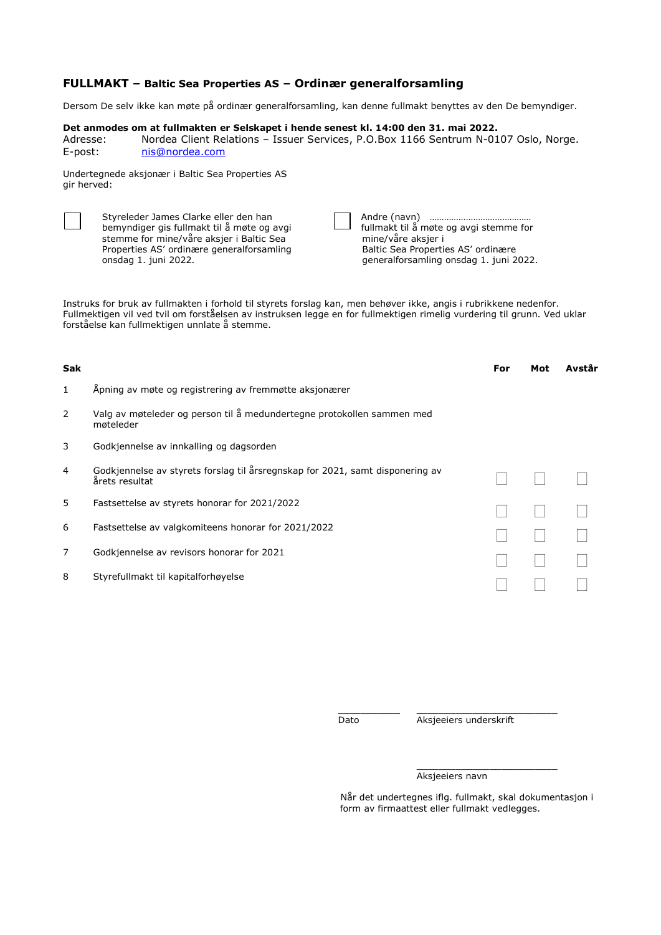# **FULLMAKT – Baltic Sea Properties AS – Ordinær generalforsamling**

Dersom De selv ikke kan møte på ordinær generalforsamling, kan denne fullmakt benyttes av den De bemyndiger.

### **Det anmodes om at fullmakten er Selskapet i hende senest kl. 14:00 den 31. mai 2022.**

Adresse: Nordea Client Relations – Issuer Services, P.O.Box 1166 Sentrum N-0107 Oslo, Norge. E-post: [nis@nordea.com](mailto:nis@nordea.com)

Undertegnede aksjonær i Baltic Sea Properties AS gir herved:

| Styreleder James Clarke eller den han<br>bemyndiger gis fullmakt til å møte og avgi<br>stemme for mine/våre aksjer i Baltic Sea<br>Properties AS' ordinære generalforsamling<br>onsdag 1. juni 2022. |  | Andre (navn) mummummummummummum<br>fullmakt til å møte og avgi stemme for<br>mine/våre aksjer i<br>Baltic Sea Properties AS' ordinære<br>generalforsamling onsdag 1. juni 2022. |
|------------------------------------------------------------------------------------------------------------------------------------------------------------------------------------------------------|--|---------------------------------------------------------------------------------------------------------------------------------------------------------------------------------|
|------------------------------------------------------------------------------------------------------------------------------------------------------------------------------------------------------|--|---------------------------------------------------------------------------------------------------------------------------------------------------------------------------------|

Instruks for bruk av fullmakten i forhold til styrets forslag kan, men behøver ikke, angis i rubrikkene nedenfor. Fullmektigen vil ved tvil om forståelsen av instruksen legge en for fullmektigen rimelig vurdering til grunn. Ved uklar forståelse kan fullmektigen unnlate å stemme.

| <b>Sak</b> |                                                                                                 | For | Mot | Avstår |
|------------|-------------------------------------------------------------------------------------------------|-----|-----|--------|
| 1          | Apning av møte og registrering av fremmøtte aksjonærer                                          |     |     |        |
| 2          | Valg av møteleder og person til å medundertegne protokollen sammen med<br>møteleder             |     |     |        |
| 3          | Godkjennelse av innkalling og dagsorden                                                         |     |     |        |
| 4          | Godkjennelse av styrets forslag til årsregnskap for 2021, samt disponering av<br>årets resultat |     |     |        |
| 5.         | Fastsettelse av styrets honorar for 2021/2022                                                   |     |     |        |
| 6          | Fastsettelse av valgkomiteens honorar for 2021/2022                                             |     |     |        |
| 7          | Godkjennelse av revisors honorar for 2021                                                       |     |     |        |
| 8          | Styrefullmakt til kapitalforhøyelse                                                             |     |     |        |
|            |                                                                                                 |     |     |        |

\_\_\_\_\_\_\_\_\_\_\_ \_\_\_\_\_\_\_\_\_\_\_\_\_\_\_\_\_\_\_\_\_\_\_\_\_ Dato Aksjeeiers underskrift

\_\_\_\_\_\_\_\_\_\_\_\_\_\_\_\_\_\_\_\_\_\_\_\_\_

#### Aksjeeiers navn

Når det undertegnes iflg. fullmakt, skal dokumentasjon i form av firmaattest eller fullmakt vedlegges.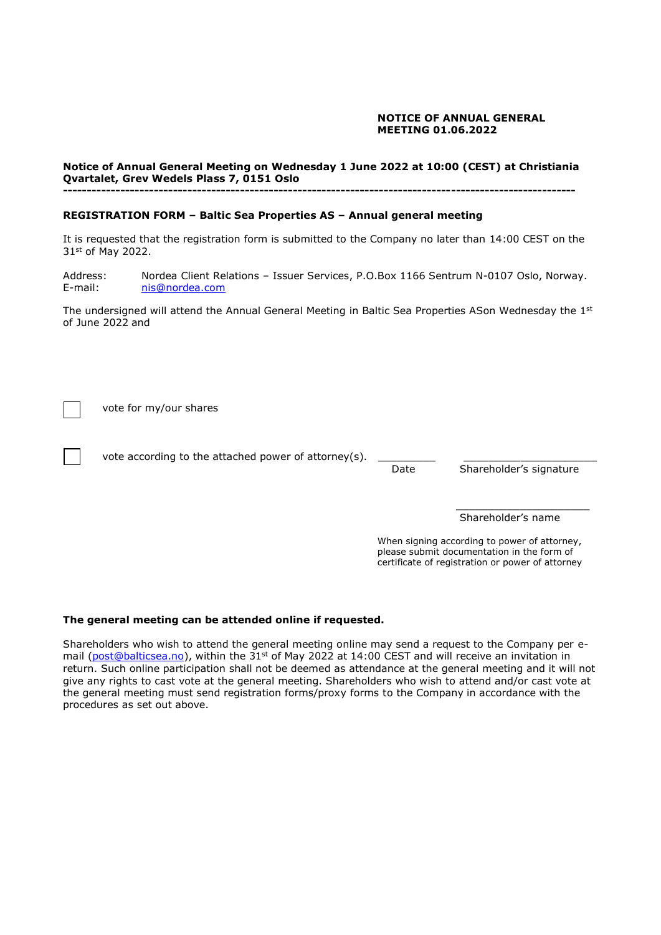## **NOTICE OF ANNUAL GENERAL MEETING 01.06.2022**

#### **Notice of Annual General Meeting on Wednesday 1 June 2022 at 10:00 (CEST) at Christiania Qvartalet, Grev Wedels Plass 7, 0151 Oslo -----------------------------------------------------------------------------------------------------------**

### **REGISTRATION FORM – Baltic Sea Properties AS – Annual general meeting**

It is requested that the registration form is submitted to the Company no later than 14:00 CEST on the 31st of May 2022.

Address: Nordea Client Relations – Issuer Services, P.O.Box 1166 Sentrum N-0107 Oslo, Norway. E-mail: [nis@nordea.com](mailto:nis@nordea.com)

The undersigned will attend the Annual General Meeting in Baltic Sea Properties ASon Wednesday the 1<sup>st</sup> of June 2022 and

vote for my/our shares

vote according to the attached power of attorney(s).

Date Shareholder's signature

\_\_\_\_\_\_\_\_\_\_\_\_\_\_\_\_\_\_\_\_\_ Shareholder's name

 When signing according to power of attorney, please submit documentation in the form of certificate of registration or power of attorney

### **The general meeting can be attended online if requested.**

Shareholders who wish to attend the general meeting online may send a request to the Company per e-mail [\(post@balticsea.no\)](mailto:post@balticsea.no), within the 31<sup>st</sup> of May 2022 at 14:00 CEST and will receive an invitation in return. Such online participation shall not be deemed as attendance at the general meeting and it will not give any rights to cast vote at the general meeting. Shareholders who wish to attend and/or cast vote at the general meeting must send registration forms/proxy forms to the Company in accordance with the procedures as set out above.